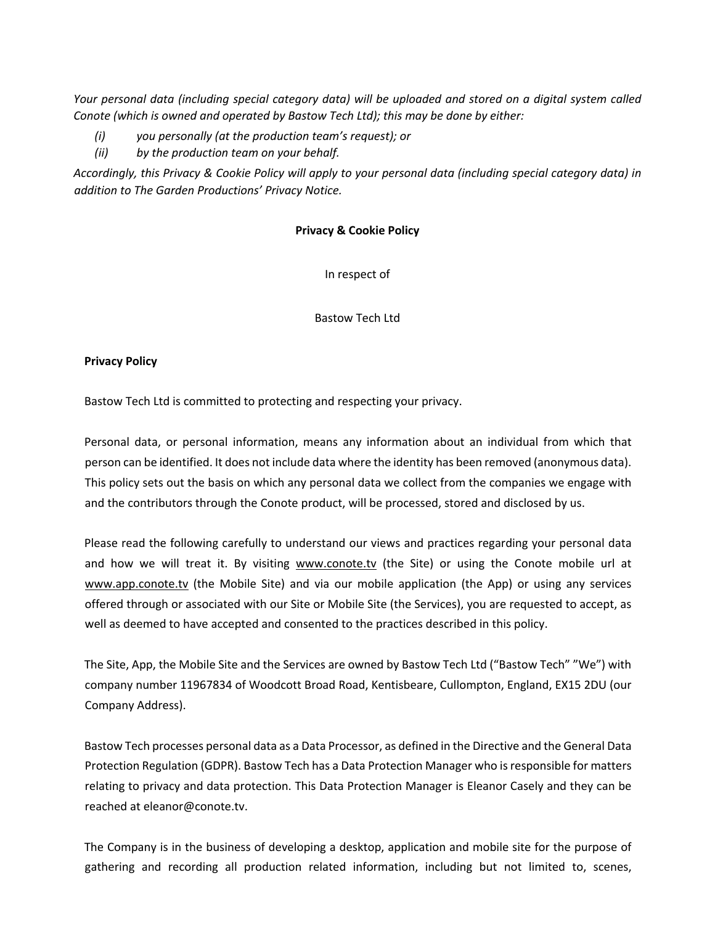*Your personal data (including special category data) will be uploaded and stored on a digital system called Conote (which is owned and operated by Bastow Tech Ltd); this may be done by either:* 

- *(i) you personally (at the production team's request); or*
- *(ii) by the production team on your behalf.*

*Accordingly, this Privacy & Cookie Policy will apply to your personal data (including special category data) in addition to The Garden Productions' Privacy Notice.*

## **Privacy & Cookie Policy**

In respect of

Bastow Tech Ltd

## **Privacy Policy**

Bastow Tech Ltd is committed to protecting and respecting your privacy.

Personal data, or personal information, means any information about an individual from which that person can be identified. It does not include data where the identity has been removed (anonymous data). This policy sets out the basis on which any personal data we collect from the companies we engage with and the contributors through the Conote product, will be processed, stored and disclosed by us.

Please read the following carefully to understand our views and practices regarding your personal data and how we will treat it. By visiting www.conote.tv (the Site) or using the Conote mobile url at www.app.conote.tv (the Mobile Site) and via our mobile application (the App) or using any services offered through or associated with our Site or Mobile Site (the Services), you are requested to accept, as well as deemed to have accepted and consented to the practices described in this policy.

The Site, App, the Mobile Site and the Services are owned by Bastow Tech Ltd ("Bastow Tech" "We") with company number 11967834 of Woodcott Broad Road, Kentisbeare, Cullompton, England, EX15 2DU (our Company Address).

Bastow Tech processes personal data as a Data Processor, as defined in the Directive and the General Data Protection Regulation (GDPR). Bastow Tech has a Data Protection Manager who is responsible for matters relating to privacy and data protection. This Data Protection Manager is Eleanor Casely and they can be reached at eleanor@conote.tv.

The Company is in the business of developing a desktop, application and mobile site for the purpose of gathering and recording all production related information, including but not limited to, scenes,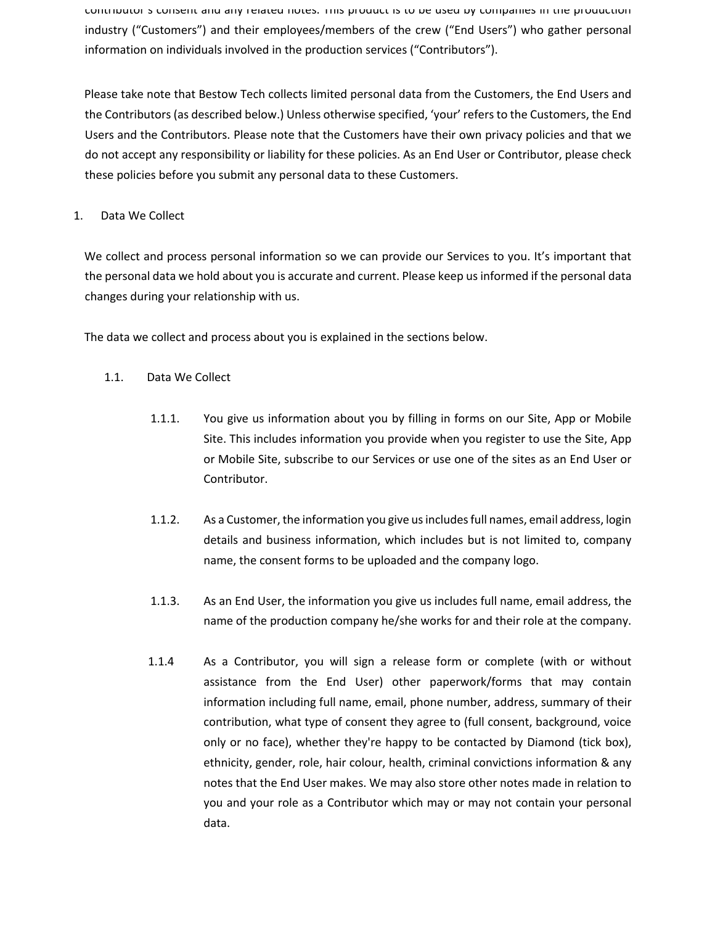contributor's consent and any related notes. This product is to be used by companies in the production industry ("Customers") and their employees/members of the crew ("End Users") who gather personal information on individuals involved in the production services ("Contributors").

Please take note that Bestow Tech collects limited personal data from the Customers, the End Users and the Contributors (as described below.) Unless otherwise specified, 'your' refers to the Customers, the End Users and the Contributors. Please note that the Customers have their own privacy policies and that we do not accept any responsibility or liability for these policies. As an End User or Contributor, please check these policies before you submit any personal data to these Customers.

# 1. Data We Collect

We collect and process personal information so we can provide our Services to you. It's important that the personal data we hold about you is accurate and current. Please keep us informed if the personal data changes during your relationship with us.

The data we collect and process about you is explained in the sections below.

- 1.1. Data We Collect
	- 1.1.1. You give us information about you by filling in forms on our Site, App or Mobile Site. This includes information you provide when you register to use the Site, App or Mobile Site, subscribe to our Services or use one of the sites as an End User or Contributor.
	- 1.1.2. As a Customer, the information you give us includes full names, email address, login details and business information, which includes but is not limited to, company name, the consent forms to be uploaded and the company logo.
	- 1.1.3. As an End User, the information you give us includes full name, email address, the name of the production company he/she works for and their role at the company.
	- 1.1.4 As a Contributor, you will sign a release form or complete (with or without assistance from the End User) other paperwork/forms that may contain information including full name, email, phone number, address, summary of their contribution, what type of consent they agree to (full consent, background, voice only or no face), whether they're happy to be contacted by Diamond (tick box), ethnicity, gender, role, hair colour, health, criminal convictions information & any notes that the End User makes. We may also store other notes made in relation to you and your role as a Contributor which may or may not contain your personal data.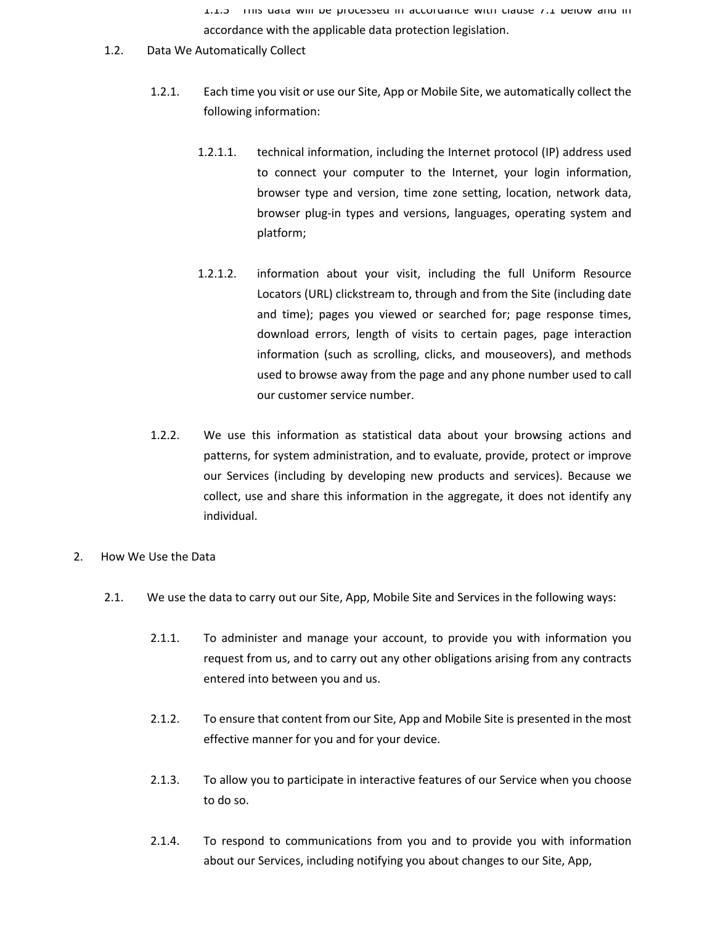1.1.5 This data will be processed in accordance with clause 7.1 below and in accordance with the applicable data protection legislation.

- 1.2. Data We Automatically Collect
	- 1.2.1. Each time you visit or use our Site, App or Mobile Site, we automatically collect the following information:
		- 1.2.1.1. technical information, including the Internet protocol (IP) address used to connect your computer to the Internet, your login information, browser type and version, time zone setting, location, network data, browser plug-in types and versions, languages, operating system and platform;
		- 1.2.1.2. information about your visit, including the full Uniform Resource Locators (URL) clickstream to, through and from the Site (including date and time); pages you viewed or searched for; page response times, download errors, length of visits to certain pages, page interaction information (such as scrolling, clicks, and mouseovers), and methods used to browse away from the page and any phone number used to call our customer service number.
	- 1.2.2. We use this information as statistical data about your browsing actions and patterns, for system administration, and to evaluate, provide, protect or improve our Services (including by developing new products and services). Because we collect, use and share this information in the aggregate, it does not identify any individual.
- 2. How We Use the Data
	- 2.1. We use the data to carry out our Site, App, Mobile Site and Services in the following ways:
		- 2.1.1. To administer and manage your account, to provide you with information you request from us, and to carry out any other obligations arising from any contracts entered into between you and us.
		- 2.1.2. To ensure that content from our Site, App and Mobile Site is presented in the most effective manner for you and for your device.
		- 2.1.3. To allow you to participate in interactive features of our Service when you choose to do so.
		- 2.1.4. To respond to communications from you and to provide you with information about our Services, including notifying you about changes to our Site, App,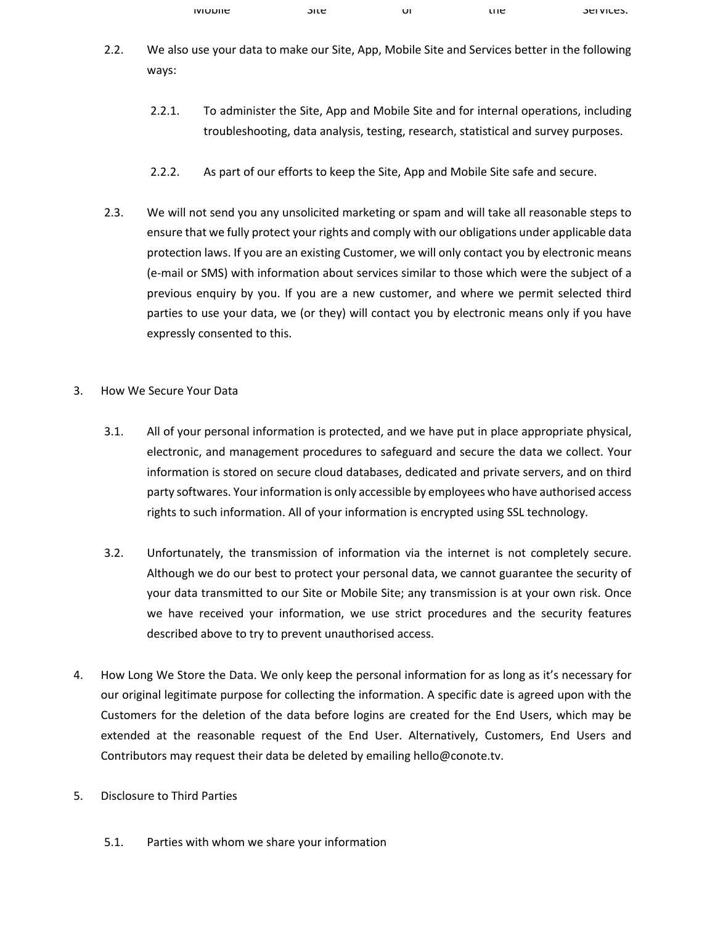| <b>IVIODIIE</b> | ນເເ | υī | .ne | <b>SEIVILES.</b> |
|-----------------|-----|----|-----|------------------|
|                 |     |    |     |                  |

- 2.2. We also use your data to make our Site, App, Mobile Site and Services better in the following ways:
	- 2.2.1. To administer the Site, App and Mobile Site and for internal operations, including troubleshooting, data analysis, testing, research, statistical and survey purposes.
	- 2.2.2. As part of our efforts to keep the Site, App and Mobile Site safe and secure.
- 2.3. We will not send you any unsolicited marketing or spam and will take all reasonable steps to ensure that we fully protect your rights and comply with our obligations under applicable data protection laws. If you are an existing Customer, we will only contact you by electronic means (e-mail or SMS) with information about services similar to those which were the subject of a previous enquiry by you. If you are a new customer, and where we permit selected third parties to use your data, we (or they) will contact you by electronic means only if you have expressly consented to this.
- 3. How We Secure Your Data
	- 3.1. All of your personal information is protected, and we have put in place appropriate physical, electronic, and management procedures to safeguard and secure the data we collect. Your information is stored on secure cloud databases, dedicated and private servers, and on third party softwares. Your information is only accessible by employees who have authorised access rights to such information. All of your information is encrypted using SSL technology.
	- 3.2. Unfortunately, the transmission of information via the internet is not completely secure. Although we do our best to protect your personal data, we cannot guarantee the security of your data transmitted to our Site or Mobile Site; any transmission is at your own risk. Once we have received your information, we use strict procedures and the security features described above to try to prevent unauthorised access.
- 4. How Long We Store the Data. We only keep the personal information for as long as it's necessary for our original legitimate purpose for collecting the information. A specific date is agreed upon with the Customers for the deletion of the data before logins are created for the End Users, which may be extended at the reasonable request of the End User. Alternatively, Customers, End Users and Contributors may request their data be deleted by emailing hello@conote.tv.
- 5. Disclosure to Third Parties
	- 5.1. Parties with whom we share your information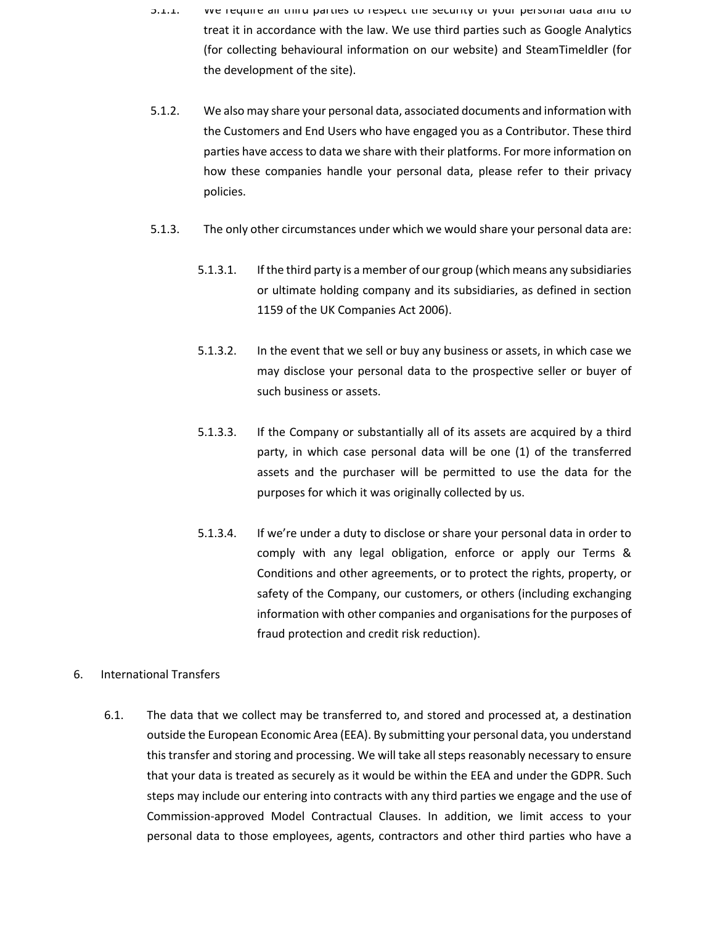- 5.1.1. We require all third parties to respect the security of your personal data and to treat it in accordance with the law. We use third parties such as Google Analytics (for collecting behavioural information on our website) and SteamTimeldler (for the development of the site).
- 5.1.2. We also may share your personal data, associated documents and information with the Customers and End Users who have engaged you as a Contributor. These third parties have access to data we share with their platforms. For more information on how these companies handle your personal data, please refer to their privacy policies.
- 5.1.3. The only other circumstances under which we would share your personal data are:
	- 5.1.3.1. If the third party is a member of our group (which means any subsidiaries or ultimate holding company and its subsidiaries, as defined in section 1159 of the UK Companies Act 2006).
	- 5.1.3.2. In the event that we sell or buy any business or assets, in which case we may disclose your personal data to the prospective seller or buyer of such business or assets.
	- 5.1.3.3. If the Company or substantially all of its assets are acquired by a third party, in which case personal data will be one (1) of the transferred assets and the purchaser will be permitted to use the data for the purposes for which it was originally collected by us.
	- 5.1.3.4. If we're under a duty to disclose or share your personal data in order to comply with any legal obligation, enforce or apply our Terms & Conditions and other agreements, or to protect the rights, property, or safety of the Company, our customers, or others (including exchanging information with other companies and organisations for the purposes of fraud protection and credit risk reduction).

## 6. International Transfers

6.1. The data that we collect may be transferred to, and stored and processed at, a destination outside the European Economic Area (EEA). By submitting your personal data, you understand this transfer and storing and processing. We will take all steps reasonably necessary to ensure that your data is treated as securely as it would be within the EEA and under the GDPR. Such steps may include our entering into contracts with any third parties we engage and the use of Commission-approved Model Contractual Clauses. In addition, we limit access to your personal data to those employees, agents, contractors and other third parties who have a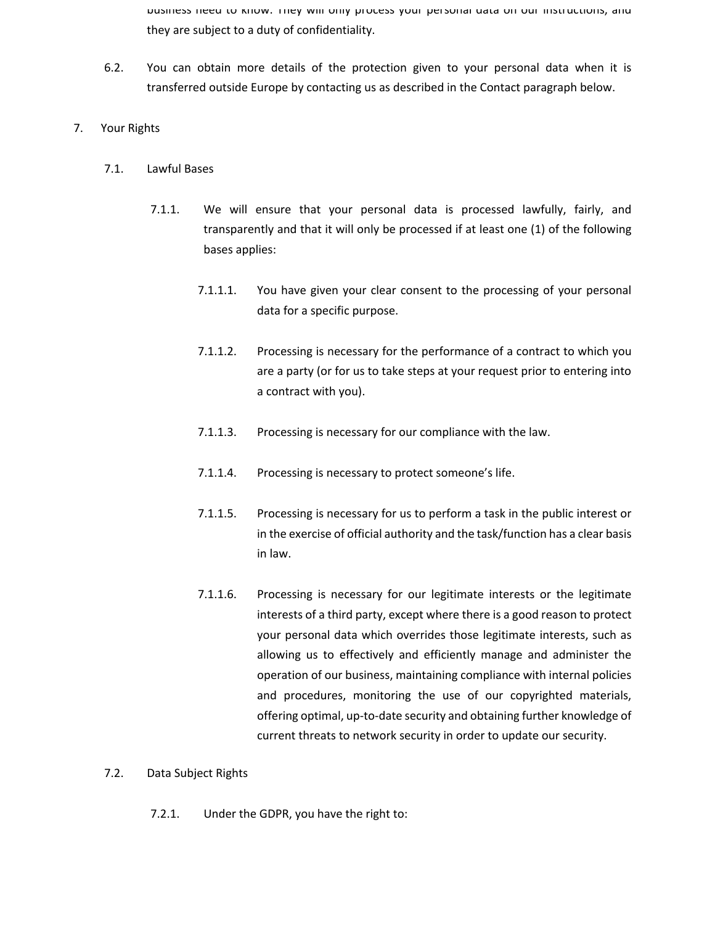business need to know. They will only process your personal data on our instructions, and they are subject to a duty of confidentiality.

- 6.2. You can obtain more details of the protection given to your personal data when it is transferred outside Europe by contacting us as described in the Contact paragraph below.
- 7. Your Rights
	- 7.1. Lawful Bases
		- 7.1.1. We will ensure that your personal data is processed lawfully, fairly, and transparently and that it will only be processed if at least one (1) of the following bases applies:
			- 7.1.1.1. You have given your clear consent to the processing of your personal data for a specific purpose.
			- 7.1.1.2. Processing is necessary for the performance of a contract to which you are a party (or for us to take steps at your request prior to entering into a contract with you).
			- 7.1.1.3. Processing is necessary for our compliance with the law.
			- 7.1.1.4. Processing is necessary to protect someone's life.
			- 7.1.1.5. Processing is necessary for us to perform a task in the public interest or in the exercise of official authority and the task/function has a clear basis in law.
			- 7.1.1.6. Processing is necessary for our legitimate interests or the legitimate interests of a third party, except where there is a good reason to protect your personal data which overrides those legitimate interests, such as allowing us to effectively and efficiently manage and administer the operation of our business, maintaining compliance with internal policies and procedures, monitoring the use of our copyrighted materials, offering optimal, up-to-date security and obtaining further knowledge of current threats to network security in order to update our security.

### 7.2. Data Subject Rights

7.2.1. Under the GDPR, you have the right to: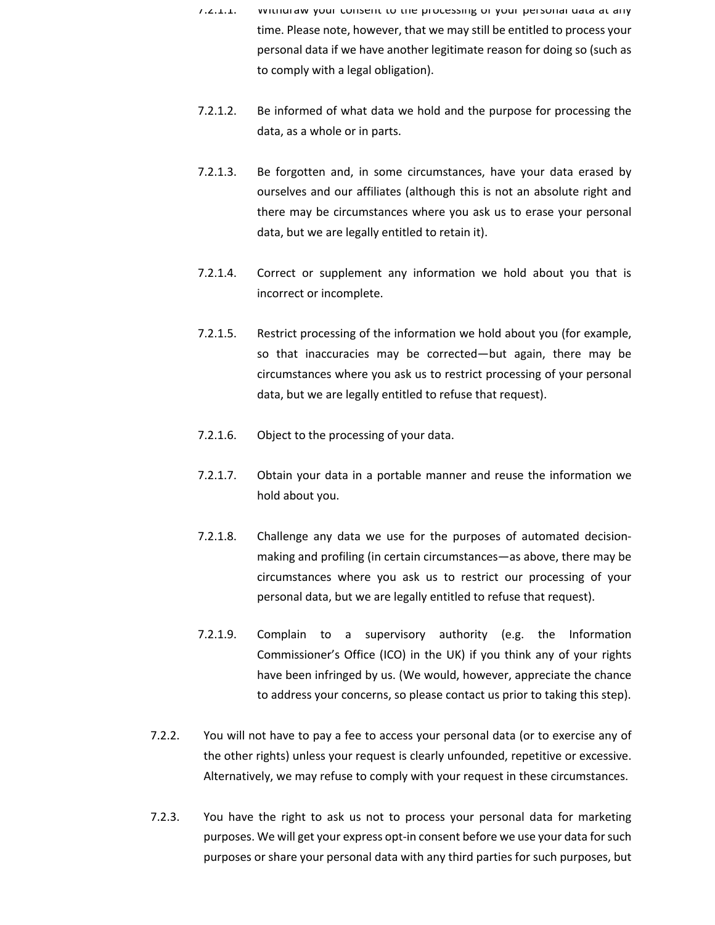- 7.2.1.1. Withdraw your consent to the processing of your personal data at any time. Please note, however, that we may still be entitled to process your personal data if we have another legitimate reason for doing so (such as to comply with a legal obligation).
- 7.2.1.2. Be informed of what data we hold and the purpose for processing the data, as a whole or in parts.
- 7.2.1.3. Be forgotten and, in some circumstances, have your data erased by ourselves and our affiliates (although this is not an absolute right and there may be circumstances where you ask us to erase your personal data, but we are legally entitled to retain it).
- 7.2.1.4. Correct or supplement any information we hold about you that is incorrect or incomplete.
- 7.2.1.5. Restrict processing of the information we hold about you (for example, so that inaccuracies may be corrected—but again, there may be circumstances where you ask us to restrict processing of your personal data, but we are legally entitled to refuse that request).
- 7.2.1.6. Object to the processing of your data.
- 7.2.1.7. Obtain your data in a portable manner and reuse the information we hold about you.
- 7.2.1.8. Challenge any data we use for the purposes of automated decisionmaking and profiling (in certain circumstances—as above, there may be circumstances where you ask us to restrict our processing of your personal data, but we are legally entitled to refuse that request).
- 7.2.1.9. Complain to a supervisory authority (e.g. the Information Commissioner's Office (ICO) in the UK) if you think any of your rights have been infringed by us. (We would, however, appreciate the chance to address your concerns, so please contact us prior to taking this step).
- 7.2.2. You will not have to pay a fee to access your personal data (or to exercise any of the other rights) unless your request is clearly unfounded, repetitive or excessive. Alternatively, we may refuse to comply with your request in these circumstances.
- 7.2.3. You have the right to ask us not to process your personal data for marketing purposes. We will get your express opt-in consent before we use your data for such purposes or share your personal data with any third parties for such purposes, but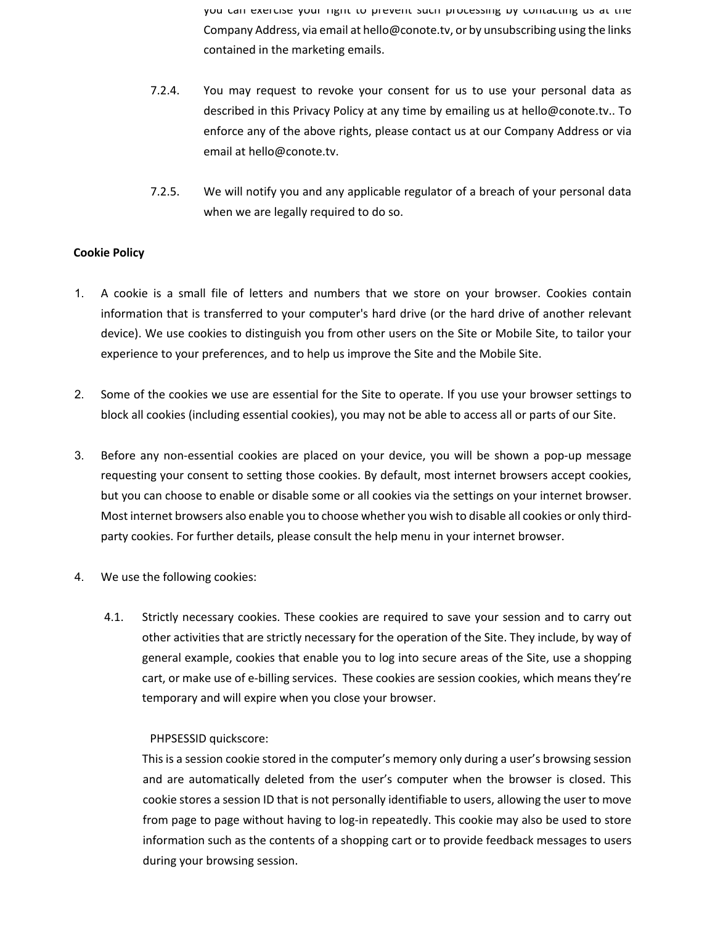you can exercise your right to prevent such processing by contacting us at the Company Address, via email at hello@conote.tv, or by unsubscribing using the links contained in the marketing emails.

- 7.2.4. You may request to revoke your consent for us to use your personal data as described in this Privacy Policy at any time by emailing us at hello@conote.tv.. To enforce any of the above rights, please contact us at our Company Address or via email at hello@conote.tv.
- 7.2.5. We will notify you and any applicable regulator of a breach of your personal data when we are legally required to do so.

## **Cookie Policy**

- 1. A cookie is a small file of letters and numbers that we store on your browser. Cookies contain information that is transferred to your computer's hard drive (or the hard drive of another relevant device). We use cookies to distinguish you from other users on the Site or Mobile Site, to tailor your experience to your preferences, and to help us improve the Site and the Mobile Site.
- 2. Some of the cookies we use are essential for the Site to operate. If you use your browser settings to block all cookies (including essential cookies), you may not be able to access all or parts of our Site.
- 3. Before any non-essential cookies are placed on your device, you will be shown a pop-up message requesting your consent to setting those cookies. By default, most internet browsers accept cookies, but you can choose to enable or disable some or all cookies via the settings on your internet browser. Most internet browsers also enable you to choose whether you wish to disable all cookies or only thirdparty cookies. For further details, please consult the help menu in your internet browser.
- 4. We use the following cookies:
	- 4.1. Strictly necessary cookies. These cookies are required to save your session and to carry out other activities that are strictly necessary for the operation of the Site. They include, by way of general example, cookies that enable you to log into secure areas of the Site, use a shopping cart, or make use of e-billing services. These cookies are session cookies, which means they're temporary and will expire when you close your browser.

## PHPSESSID quickscore:

This is a session cookie stored in the computer's memory only during a user's browsing session and are automatically deleted from the user's computer when the browser is closed. This cookie stores a session ID that is not personally identifiable to users, allowing the user to move from page to page without having to log-in repeatedly. This cookie may also be used to store information such as the contents of a shopping cart or to provide feedback messages to users during your browsing session.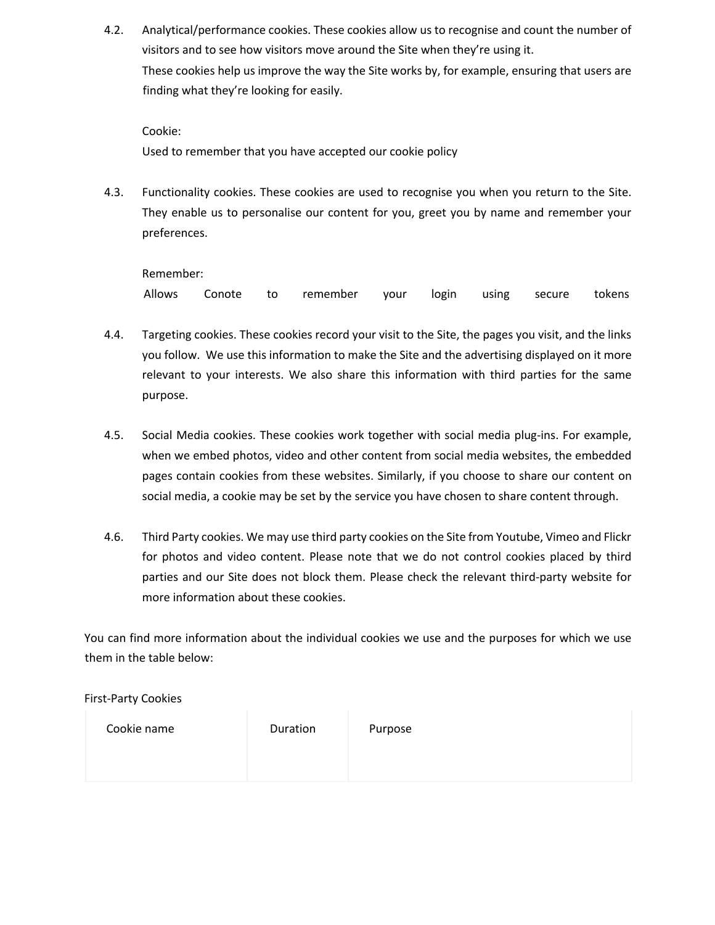4.2. Analytical/performance cookies. These cookies allow us to recognise and count the number of visitors and to see how visitors move around the Site when they're using it. These cookies help us improve the way the Site works by, for example, ensuring that users are finding what they're looking for easily.

Cookie: Used to remember that you have accepted our cookie policy

4.3. Functionality cookies. These cookies are used to recognise you when you return to the Site. They enable us to personalise our content for you, greet you by name and remember your preferences.

Remember:

Allows Conote to remember your login using secure tokens

- 4.4. Targeting cookies. These cookies record your visit to the Site, the pages you visit, and the links you follow. We use this information to make the Site and the advertising displayed on it more relevant to your interests. We also share this information with third parties for the same purpose.
- 4.5. Social Media cookies. These cookies work together with social media plug-ins. For example, when we embed photos, video and other content from social media websites, the embedded pages contain cookies from these websites. Similarly, if you choose to share our content on social media, a cookie may be set by the service you have chosen to share content through.
- 4.6. Third Party cookies. We may use third party cookies on the Site from Youtube, Vimeo and Flickr for photos and video content. Please note that we do not control cookies placed by third parties and our Site does not block them. Please check the relevant third-party website for more information about these cookies.

You can find more information about the individual cookies we use and the purposes for which we use them in the table below:

First-Party Cookies

| Cookie name | Duration | Purpose |
|-------------|----------|---------|
|             |          |         |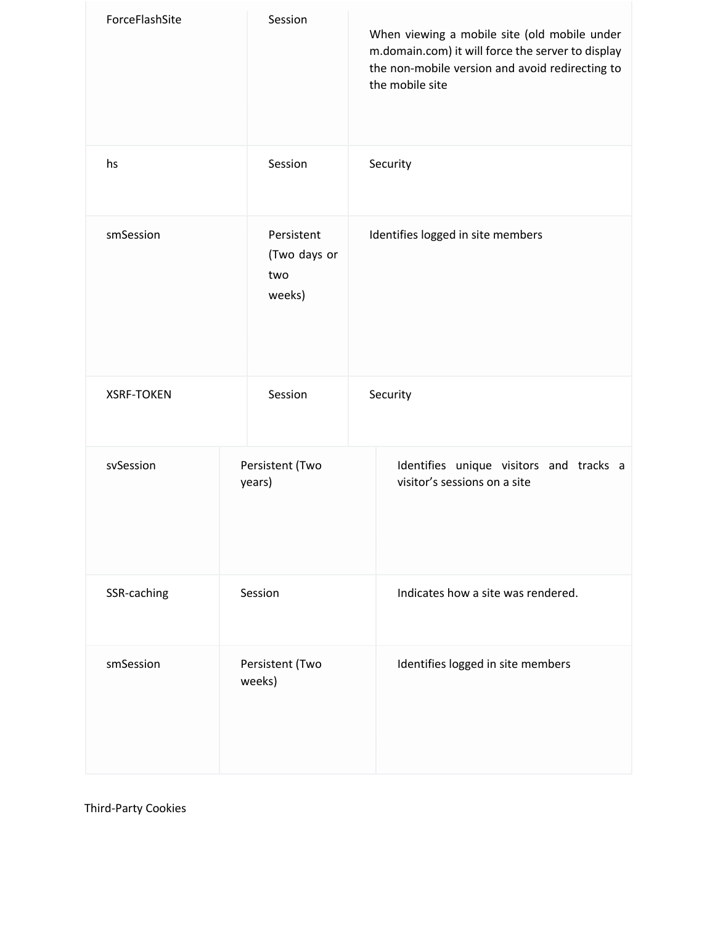| ForceFlashSite    | Session                                     | When viewing a mobile site (old mobile under<br>m.domain.com) it will force the server to display<br>the non-mobile version and avoid redirecting to<br>the mobile site |  |
|-------------------|---------------------------------------------|-------------------------------------------------------------------------------------------------------------------------------------------------------------------------|--|
| hs                | Session                                     | Security                                                                                                                                                                |  |
| smSession         | Persistent<br>(Two days or<br>two<br>weeks) | Identifies logged in site members                                                                                                                                       |  |
| <b>XSRF-TOKEN</b> | Session                                     | Security                                                                                                                                                                |  |
| svSession         | Persistent (Two<br>years)                   | Identifies unique visitors and tracks a<br>visitor's sessions on a site                                                                                                 |  |
| SSR-caching       | Session                                     | Indicates how a site was rendered.                                                                                                                                      |  |
| smSession         | Persistent (Two<br>weeks)                   | Identifies logged in site members                                                                                                                                       |  |

Third-Party Cookies